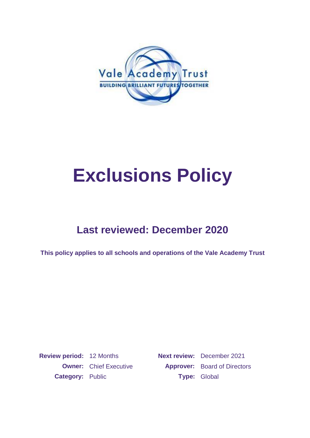

# **Exclusions Policy**

## **Last reviewed: December 2020**

**This policy applies to all schools and operations of the Vale Academy Trust**

**Review period:** 12 Months **Next review:** December 2021 **Category: Public <b>Type:** Global

**Owner:** Chief Executive **Approver:** Board of Directors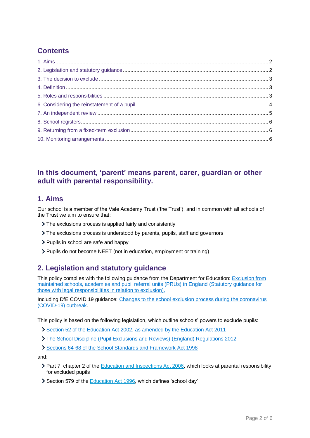## **Contents**

## **In this document, 'parent' means parent, carer, guardian or other adult with parental responsibility.**

## **1. Aims**

Our school is a member of the Vale Academy Trust ('the Trust'), and in common with all schools of the Trust we aim to ensure that:

- The exclusions process is applied fairly and consistently
- The exclusions process is understood by parents, pupils, staff and governors
- > Pupils in school are safe and happy
- Pupils do not become NEET (not in education, employment or training)

## **2. Legislation and statutory guidance**

This policy complies with the following guidance from the Department for Education: [Exclusion from](https://www.gov.uk/government/publications/school-exclusion)  [maintained schools, academies and pupil referral units \(PRUs\) in England](https://www.gov.uk/government/publications/school-exclusion) (Statutory guidance for [those with legal responsibilities in relation to exclusion\).](https://www.gov.uk/government/publications/school-exclusion)

Including DfE COVID 19 guidance: [Changes to the school exclusion process during the coronavirus](https://www.gov.uk/government/publications/school-exclusion)  [\(COVID-19\) outbreak.](https://www.gov.uk/government/publications/school-exclusion)

This policy is based on the following legislation, which outline schools' powers to exclude pupils:

- [Section 52 of the Education Act 2002, as amended by the Education Act 2011](http://www.legislation.gov.uk/ukpga/2002/32/section/52)
- [The School Discipline \(Pupil Exclusions and Reviews\) \(England\) Regulations 2012](http://www.legislation.gov.uk/uksi/2012/1033/made)
- [Sections 64-68 of the School Standards and Framework Act 1998](http://www.legislation.gov.uk/ukpga/1998/31)

and:

- ▶ Part 7, chapter 2 of the [Education and Inspections Act 2006,](http://www.legislation.gov.uk/ukpga/2006/40/part/7/chapter/2) which looks at parental responsibility for excluded pupils
- Section 579 of the [Education Act 1996,](http://www.legislation.gov.uk/ukpga/1996/56/section/579) which defines 'school day'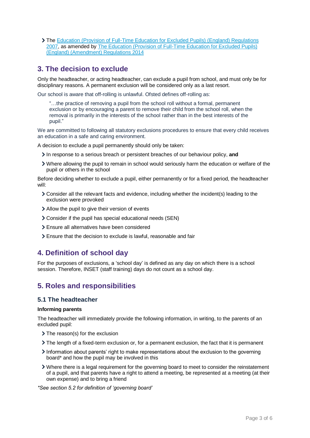The [Education \(Provision of Full-Time Education for Excluded Pupils\) \(England\) Regulations](http://www.legislation.gov.uk/uksi/2007/1870/contents/made)  [2007,](http://www.legislation.gov.uk/uksi/2007/1870/contents/made) as amended by [The Education \(Provision of Full-Time Education for Excluded Pupils\)](http://www.legislation.gov.uk/uksi/2014/3216/contents/made)  [\(England\) \(Amendment\) Regulations 2014](http://www.legislation.gov.uk/uksi/2014/3216/contents/made)

## **3. The decision to exclude**

Only the headteacher, or acting headteacher, can exclude a pupil from school, and must only be for disciplinary reasons. A permanent exclusion will be considered only as a last resort.

Our school is aware that off-rolling is unlawful. Ofsted defines off-rolling as:

"…the practice of removing a pupil from the school roll without a formal, permanent exclusion or by encouraging a parent to remove their child from the school roll, when the removal is primarily in the interests of the school rather than in the best interests of the pupil."

We are committed to following all statutory exclusions procedures to ensure that every child receives an education in a safe and caring environment.

A decision to exclude a pupil permanently should only be taken:

- In response to a serious breach or persistent breaches of our behaviour policy, **and**
- Where allowing the pupil to remain in school would seriously harm the education or welfare of the pupil or others in the school

Before deciding whether to exclude a pupil, either permanently or for a fixed period, the headteacher will:

- Consider all the relevant facts and evidence, including whether the incident(s) leading to the exclusion were provoked
- Allow the pupil to give their version of events
- Consider if the pupil has special educational needs (SEN)
- Ensure all alternatives have been considered
- Ensure that the decision to exclude is lawful, reasonable and fair

## **4. Definition of school day**

For the purposes of exclusions, a 'school day' is defined as any day on which there is a school session. Therefore, INSET (staff training) days do not count as a school day.

## **5. Roles and responsibilities**

#### **5.1 The headteacher**

#### **Informing parents**

The headteacher will immediately provide the following information, in writing, to the parents of an excluded pupil:

- > The reason(s) for the exclusion
- The length of a fixed-term exclusion or, for a permanent exclusion, the fact that it is permanent
- Information about parents' right to make representations about the exclusion to the governing board\* and how the pupil may be involved in this
- Where there is a legal requirement for the governing board to meet to consider the reinstatement of a pupil, and that parents have a right to attend a meeting, be represented at a meeting (at their own expense) and to bring a friend

*\*See section 5.2 for definition of 'governing board'*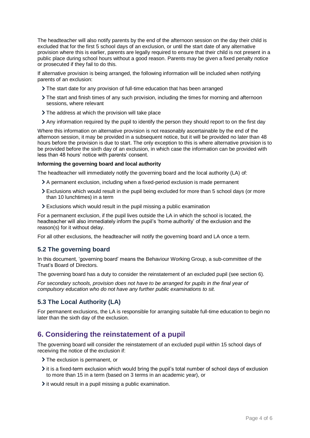The headteacher will also notify parents by the end of the afternoon session on the day their child is excluded that for the first 5 school days of an exclusion, or until the start date of any alternative provision where this is earlier, parents are legally required to ensure that their child is not present in a public place during school hours without a good reason. Parents may be given a fixed penalty notice or prosecuted if they fail to do this.

If alternative provision is being arranged, the following information will be included when notifying parents of an exclusion:

- The start date for any provision of full-time education that has been arranged
- The start and finish times of any such provision, including the times for morning and afternoon sessions, where relevant
- > The address at which the provision will take place
- Any information required by the pupil to identify the person they should report to on the first day

Where this information on alternative provision is not reasonably ascertainable by the end of the afternoon session, it may be provided in a subsequent notice, but it will be provided no later than 48 hours before the provision is due to start. The only exception to this is where alternative provision is to be provided before the sixth day of an exclusion, in which case the information can be provided with less than 48 hours' notice with parents' consent.

#### **Informing the governing board and local authority**

The headteacher will immediately notify the governing board and the local authority (LA) of:

- A permanent exclusion, including when a fixed-period exclusion is made permanent
- Exclusions which would result in the pupil being excluded for more than 5 school days (or more than 10 lunchtimes) in a term
- Exclusions which would result in the pupil missing a public examination

For a permanent exclusion, if the pupil lives outside the LA in which the school is located, the headteacher will also immediately inform the pupil's 'home authority' of the exclusion and the reason(s) for it without delay.

For all other exclusions, the headteacher will notify the governing board and LA once a term.

#### **5.2 The governing board**

In this document, 'governing board' means the Behaviour Working Group, a sub-committee of the Trust's Board of Directors.

The governing board has a duty to consider the reinstatement of an excluded pupil (see section 6).

*For secondary schools, provision does not have to be arranged for pupils in the final year of compulsory education who do not have any further public examinations to sit.*

#### **5.3 The Local Authority (LA)**

For permanent exclusions, the LA is responsible for arranging suitable full-time education to begin no later than the sixth day of the exclusion.

### **6. Considering the reinstatement of a pupil**

The governing board will consider the reinstatement of an excluded pupil within 15 school days of receiving the notice of the exclusion if:

- > The exclusion is permanent, or
- $\ge$  it is a fixed-term exclusion which would bring the pupil's total number of school days of exclusion to more than 15 in a term (based on 3 terms in an academic year), or
- $\geq$  it would result in a pupil missing a public examination.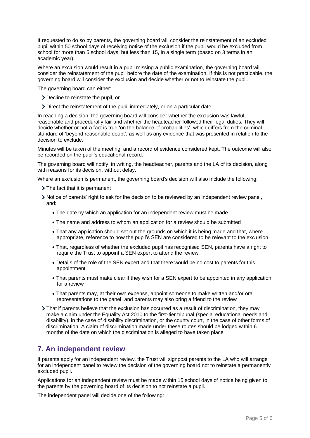If requested to do so by parents, the governing board will consider the reinstatement of an excluded pupil within 50 school days of receiving notice of the exclusion if the pupil would be excluded from school for more than 5 school days, but less than 15, in a single term (based on 3 terms in an academic year).

Where an exclusion would result in a pupil missing a public examination, the governing board will consider the reinstatement of the pupil before the date of the examination. If this is not practicable, the governing board will consider the exclusion and decide whether or not to reinstate the pupil.

The governing board can either:

- Decline to reinstate the pupil, or
- Direct the reinstatement of the pupil immediately, or on a particular date

In reaching a decision, the governing board will consider whether the exclusion was lawful, reasonable and procedurally fair and whether the headteacher followed their legal duties. They will decide whether or not a fact is true 'on the balance of probabilities', which differs from the criminal standard of 'beyond reasonable doubt', as well as any evidence that was presented in relation to the decision to exclude.

Minutes will be taken of the meeting, and a record of evidence considered kept. The outcome will also be recorded on the pupil's educational record.

The governing board will notify, in writing, the headteacher, parents and the LA of its decision, along with reasons for its decision, without delay.

Where an exclusion is permanent, the governing board's decision will also include the following:

- > The fact that it is permanent
- Notice of parents' right to ask for the decision to be reviewed by an independent review panel, and:
	- The date by which an application for an independent review must be made
	- The name and address to whom an application for a review should be submitted
	- That any application should set out the grounds on which it is being made and that, where appropriate, reference to how the pupil's SEN are considered to be relevant to the exclusion
	- That, regardless of whether the excluded pupil has recognised SEN, parents have a right to require the Trust to appoint a SEN expert to attend the review
	- Details of the role of the SEN expert and that there would be no cost to parents for this appointment
	- That parents must make clear if they wish for a SEN expert to be appointed in any application for a review
	- That parents may, at their own expense, appoint someone to make written and/or oral representations to the panel, and parents may also bring a friend to the review
- That if parents believe that the exclusion has occurred as a result of discrimination, they may make a claim under the Equality Act 2010 to the first-tier tribunal (special educational needs and disability), in the case of disability discrimination, or the county court, in the case of other forms of discrimination. A claim of discrimination made under these routes should be lodged within 6 months of the date on which the discrimination is alleged to have taken place

## **7. An independent review**

If parents apply for an independent review, the Trust will signpost parents to the LA who will arrange for an independent panel to review the decision of the governing board not to reinstate a permanently excluded pupil.

Applications for an independent review must be made within 15 school days of notice being given to the parents by the governing board of its decision to not reinstate a pupil.

The independent panel will decide one of the following: